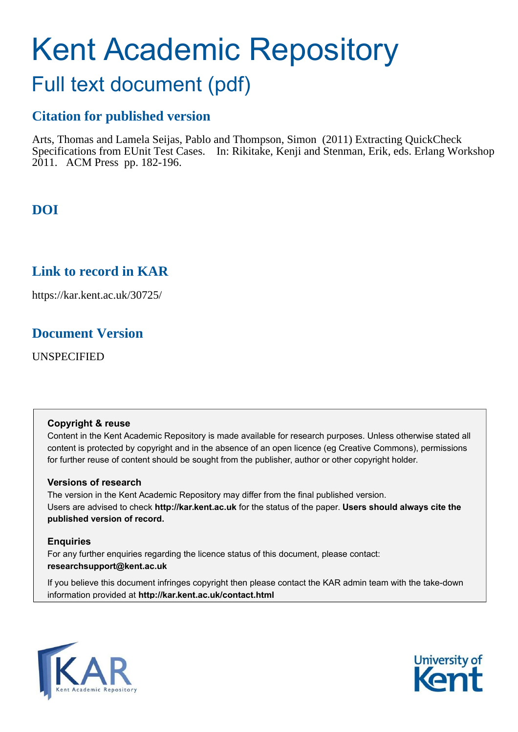# Kent Academic Repository

# Full text document (pdf)

# **Citation for published version**

Arts, Thomas and Lamela Seijas, Pablo and Thompson, Simon (2011) Extracting QuickCheck Specifications from EUnit Test Cases. In: Rikitake, Kenji and Stenman, Erik, eds. Erlang Workshop 2011. ACM Press pp. 182-196.

# **DOI**

# **Link to record in KAR**

https://kar.kent.ac.uk/30725/

# **Document Version**

UNSPECIFIED

# **Copyright & reuse**

Content in the Kent Academic Repository is made available for research purposes. Unless otherwise stated all content is protected by copyright and in the absence of an open licence (eg Creative Commons), permissions for further reuse of content should be sought from the publisher, author or other copyright holder.

# **Versions of research**

The version in the Kent Academic Repository may differ from the final published version. Users are advised to check **http://kar.kent.ac.uk** for the status of the paper. **Users should always cite the published version of record.**

# **Enquiries**

For any further enquiries regarding the licence status of this document, please contact: **researchsupport@kent.ac.uk**

If you believe this document infringes copyright then please contact the KAR admin team with the take-down information provided at **http://kar.kent.ac.uk/contact.html**



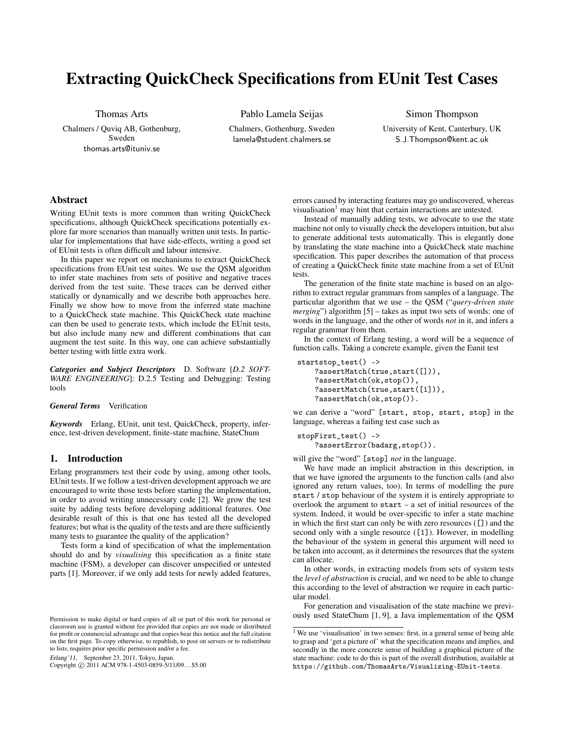# Extracting QuickCheck Specifications from EUnit Test Cases

Thomas Arts

Chalmers / Quviq AB, Gothenburg, Sweden thomas.arts@ituniv.se

Pablo Lamela Seijas

Chalmers, Gothenburg, Sweden lamela@student.chalmers.se

Simon Thompson

University of Kent, Canterbury, UK S.J.Thompson@kent.ac.uk

#### Abstract

Writing EUnit tests is more common than writing QuickCheck specifications, although QuickCheck specifications potentially explore far more scenarios than manually written unit tests. In particular for implementations that have side-effects, writing a good set of EUnit tests is often difficult and labour intensive.

In this paper we report on mechanisms to extract QuickCheck specifications from EUnit test suites. We use the QSM algorithm to infer state machines from sets of positive and negative traces derived from the test suite. These traces can be derived either statically or dynamically and we describe both approaches here. Finally we show how to move from the inferred state machine to a QuickCheck state machine. This QuickCheck state machine can then be used to generate tests, which include the EUnit tests, but also include many new and different combinations that can augment the test suite. In this way, one can achieve substantially better testing with little extra work.

*Categories and Subject Descriptors* D. Software [*D.2 SOFT-WARE ENGINEERING*]: D.2.5 Testing and Debugging: Testing tools

#### *General Terms* Verification

*Keywords* Erlang, EUnit, unit test, QuickCheck, property, inference, test-driven development, finite-state machine, StateChum

#### 1. Introduction

Erlang programmers test their code by using, among other tools, EUnit tests. If we follow a test-driven development approach we are encouraged to write those tests before starting the implementation, in order to avoid writing unnecessary code [2]. We grow the test suite by adding tests before developing additional features. One desirable result of this is that one has tested all the developed features; but what is the quality of the tests and are there sufficiently many tests to guarantee the quality of the application?

Tests form a kind of specification of what the implementation should do and by *visualising* this specification as a finite state machine (FSM), a developer can discover unspecified or untested parts [1]. Moreover, if we only add tests for newly added features,

Erlang'11, September 23, 2011, Tokyo, Japan.

Copyright © 2011 ACM 978-1-4503-0859-5/11/09... \$5.00

errors caused by interacting features may go undiscovered, whereas visualisation<sup>1</sup> may hint that certain interactions are untested.

Instead of manually adding tests, we advocate to use the state machine not only to visually check the developers intuition, but also to generate additional tests automatically. This is elegantly done by translating the state machine into a QuickCheck state machine specification. This paper describes the automation of that process of creating a QuickCheck finite state machine from a set of EUnit tests.

The generation of the finite state machine is based on an algorithm to extract regular grammars from samples of a language. The particular algorithm that we use – the QSM ("*query-driven state merging*") algorithm [5] – takes as input two sets of words: one of words in the language, and the other of words *not* in it, and infers a regular grammar from them.

In the context of Erlang testing, a word will be a sequence of function calls. Taking a concrete example, given the Eunit test

```
startstop_test() ->
   ?assertMatch(true,start([])),
    ?assertMatch(ok,stop()),
    ?assertMatch(true,start([1])),
    ?assertMatch(ok,stop()).
```
we can derive a "word" [start, stop, start, stop] in the language, whereas a failing test case such as

```
stopFirst_test() ->
    ?assertError(badarg,stop()).
```
will give the "word" [stop] *not* in the language.

We have made an implicit abstraction in this description, in that we have ignored the arguments to the function calls (and also ignored any return values, too). In terms of modelling the pure start / stop behaviour of the system it is entirely appropriate to overlook the argument to start – a set of initial resources of the system. Indeed, it would be over-specific to infer a state machine in which the first start can only be with zero resources ([]) and the second only with a single resource ([1]). However, in modelling the behaviour of the system in general this argument will need to be taken into account, as it determines the resources that the system can allocate.

In other words, in extracting models from sets of system tests the *level of abstraction* is crucial, and we need to be able to change this according to the level of abstraction we require in each particular model.

For generation and visualisation of the state machine we previously used StateChum [1, 9], a Java implementation of the QSM

Permission to make digital or hard copies of all or part of this work for personal or classroom use is granted without fee provided that copies are not made or distributed for profit or commercial advantage and that copies bear this notice and the full citation on the first page. To copy otherwise, to republish, to post on servers or to redistribute to lists, requires prior specific permission and/or a fee.

<sup>&</sup>lt;sup>1</sup> We use 'visualisation' in two senses: first, in a general sense of being able to grasp and 'get a picture of' what the specification means and implies, and secondly in the more concrete sense of building a graphical picture of the state machine: code to do this is part of the overall distribution, available at https://github.com/ThomasArts/Visualizing-EUnit-tests.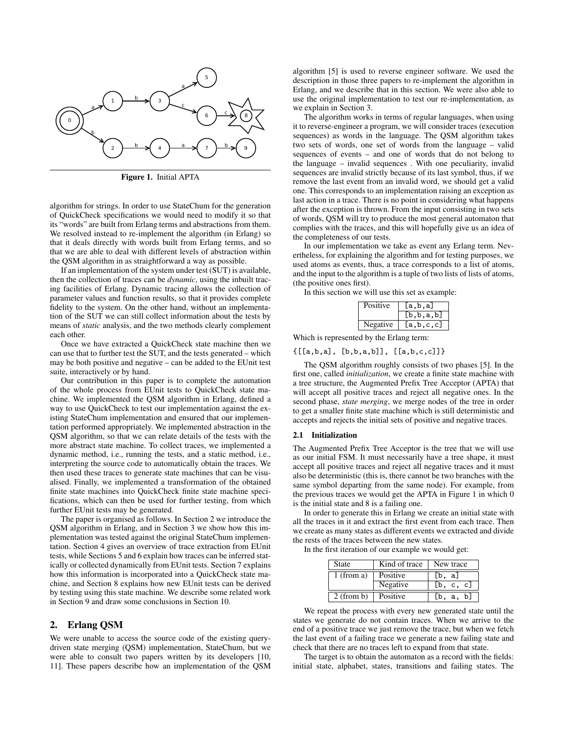

Figure 1. Initial APTA

algorithm for strings. In order to use StateChum for the generation of QuickCheck specifications we would need to modify it so that its "words" are built from Erlang terms and abstractions from them. We resolved instead to re-implement the algorithm (in Erlang) so that it deals directly with words built from Erlang terms, and so that we are able to deal with different levels of abstraction within the QSM algorithm in as straightforward a way as possible.

If an implementation of the system under test (SUT) is available, then the collection of traces can be *dynamic*, using the inbuilt tracing facilities of Erlang. Dynamic tracing allows the collection of parameter values and function results, so that it provides complete fidelity to the system. On the other hand, without an implementation of the SUT we can still collect information about the tests by means of *static* analysis, and the two methods clearly complement each other.

Once we have extracted a QuickCheck state machine then we can use that to further test the SUT, and the tests generated – which may be both positive and negative – can be added to the EUnit test suite, interactively or by hand.

Our contribution in this paper is to complete the automation of the whole process from EUnit tests to QuickCheck state machine. We implemented the QSM algorithm in Erlang, defined a way to use QuickCheck to test our implementation against the existing StateChum implementation and ensured that our implementation performed appropriately. We implemented abstraction in the QSM algorithm, so that we can relate details of the tests with the more abstract state machine. To collect traces, we implemented a dynamic method, i.e., running the tests, and a static method, i.e., interpreting the source code to automatically obtain the traces. We then used these traces to generate state machines that can be visualised. Finally, we implemented a transformation of the obtained finite state machines into QuickCheck finite state machine specifications, which can then be used for further testing, from which further EUnit tests may be generated.

The paper is organised as follows. In Section 2 we introduce the QSM algorithm in Erlang, and in Section 3 we show how this implementation was tested against the original StateChum implementation. Section 4 gives an overview of trace extraction from EUnit tests, while Sections 5 and 6 explain how traces can be inferred statically or collected dynamically from EUnit tests. Section 7 explains how this information is incorporated into a QuickCheck state machine, and Section 8 explains how new EUnit tests can be derived by testing using this state machine. We describe some related work in Section 9 and draw some conclusions in Section 10.

#### 2. Erlang QSM

We were unable to access the source code of the existing querydriven state merging (QSM) implementation, StateChum, but we were able to consult two papers written by its developers [10, 11]. These papers describe how an implementation of the QSM

algorithm [5] is used to reverse engineer software. We used the description in those three papers to re-implement the algorithm in Erlang, and we describe that in this section. We were also able to use the original implementation to test our re-implementation, as we explain in Section 3.

The algorithm works in terms of regular languages, when using it to reverse-engineer a program, we will consider traces (execution sequences) as words in the language. The QSM algorithm takes two sets of words, one set of words from the language – valid sequences of events – and one of words that do not belong to the language – invalid sequences . With one peculiarity, invalid sequences are invalid strictly because of its last symbol, thus, if we remove the last event from an invalid word, we should get a valid one. This corresponds to an implementation raising an exception as last action in a trace. There is no point in considering what happens after the exception is thrown. From the input consisting in two sets of words, QSM will try to produce the most general automaton that complies with the traces, and this will hopefully give us an idea of the completeness of our tests.

In our implementation we take as event any Erlang term. Nevertheless, for explaining the algorithm and for testing purposes, we used atoms as events, thus, a trace corresponds to a list of atoms, and the input to the algorithm is a tuple of two lists of lists of atoms, (the positive ones first).

In this section we will use this set as example:

| Positive | [a,b,a]      |
|----------|--------------|
|          | [b, b, a, b] |
| egative  | [a, b, c, c] |

Which is represented by the Erlang term:

#### ${[a,b,a], [b,b,a,b]}, [a,b,c,c]}$

The QSM algorithm roughly consists of two phases [5]. In the first one, called *initialization*, we create a finite state machine with a tree structure, the Augmented Prefix Tree Acceptor (APTA) that will accept all positive traces and reject all negative ones. In the second phase, *state merging*, we merge nodes of the tree in order to get a smaller finite state machine which is still deterministic and accepts and rejects the initial sets of positive and negative traces.

#### 2.1 Initialization

The Augmented Prefix Tree Acceptor is the tree that we will use as our initial FSM. It must necessarily have a tree shape, it must accept all positive traces and reject all negative traces and it must also be deterministic (this is, there cannot be two branches with the same symbol departing from the same node). For example, from the previous traces we would get the APTA in Figure 1 in which 0 is the initial state and 8 is a failing one.

In order to generate this in Erlang we create an initial state with all the traces in it and extract the first event from each trace. Then we create as many states as different events we extracted and divide the rests of the traces between the new states.

|  |  |  | In the first iteration of our example we would get: |  |  |  |  |  |  |
|--|--|--|-----------------------------------------------------|--|--|--|--|--|--|
|--|--|--|-----------------------------------------------------|--|--|--|--|--|--|

| State        | Kind of trace   New trace |           |  |  |
|--------------|---------------------------|-----------|--|--|
| $1$ (from a) | Positive                  | [b, a]    |  |  |
|              | Negative                  | [b, c, c] |  |  |
| $2$ (from b) | Positive                  | [b, a, b] |  |  |

We repeat the process with every new generated state until the states we generate do not contain traces. When we arrive to the end of a positive trace we just remove the trace, but when we fetch the last event of a failing trace we generate a new failing state and check that there are no traces left to expand from that state.

The target is to obtain the automaton as a record with the fields: initial state, alphabet, states, transitions and failing states. The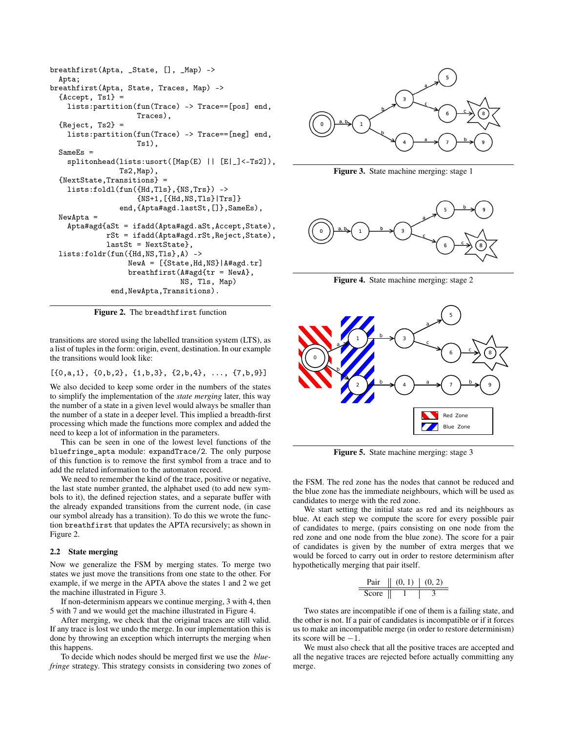```
breathfirst(Apta, _State, [], _Map) ->
  Apta;
breathfirst(Apta, State, Traces, Map) ->
  {Accept, Ts1} =
    lists:partition(fun(Trace) -> Trace==[pos] end,
                    Traces),
  {Reject, Ts2} =lists:partition(fun(Trace) -> Trace==[neg] end,
                    Ts1),
  SameEs =splitonhead(lists:usort([Map(E) || [E|_]<-Ts2]),
                Ts2,Map),
  {NextState,Transitions} =
    lists:foldl(fun({Hd,Tls},{NS,Trs}) ->
                    {NS+1,[{Hd,NS,Tls}|Trs]}
                end, {Apta#agd.lastSt, [] }, SameEs),
  NewApta =
    Apta#agd{aSt = ifadd(Apta#agd.aSt,Accept,State),
             rSt = ifadd(Apta#agd.rSt,Reject,State),
             lastSt = NextState,
  lists:foldr(fun({Hd,NS,Tls},A) ->
                  NewA = [{State,Hd,NS}|A#agd.tr]
                  breathfirst(A#agd{tr = NewA},
                              NS, Tls, Map)
              end,NewApta,Transitions).
```
Figure 2. The breadthfirst function

transitions are stored using the labelled transition system (LTS), as a list of tuples in the form: origin, event, destination. In our example the transitions would look like:

 $[{0,a,1}, {0,b,2}, {1,b,3}, {2,b,4}, ..., {7,b,9}]$ 

We also decided to keep some order in the numbers of the states to simplify the implementation of the *state merging* later, this way the number of a state in a given level would always be smaller than the number of a state in a deeper level. This implied a breadth-first processing which made the functions more complex and added the need to keep a lot of information in the parameters.

This can be seen in one of the lowest level functions of the bluefringe\_apta module: expandTrace/2. The only purpose of this function is to remove the first symbol from a trace and to add the related information to the automaton record.

We need to remember the kind of the trace, positive or negative, the last state number granted, the alphabet used (to add new symbols to it), the defined rejection states, and a separate buffer with the already expanded transitions from the current node, (in case our symbol already has a transition). To do this we wrote the function breathfirst that updates the APTA recursively; as shown in Figure 2.

#### 2.2 State merging

Now we generalize the FSM by merging states. To merge two states we just move the transitions from one state to the other. For example, if we merge in the APTA above the states 1 and 2 we get the machine illustrated in Figure 3.

If non-determinism appears we continue merging, 3 with 4, then 5 with 7 and we would get the machine illustrated in Figure 4.

After merging, we check that the original traces are still valid. If any trace is lost we undo the merge. In our implementation this is done by throwing an exception which interrupts the merging when this happens.

To decide which nodes should be merged first we use the *bluefringe* strategy. This strategy consists in considering two zones of



Figure 3. State machine merging: stage 1



Figure 4. State machine merging: stage 2



Figure 5. State machine merging: stage 3

the FSM. The red zone has the nodes that cannot be reduced and the blue zone has the immediate neighbours, which will be used as candidates to merge with the red zone.

We start setting the initial state as red and its neighbours as blue. At each step we compute the score for every possible pair of candidates to merge, (pairs consisting on one node from the red zone and one node from the blue zone). The score for a pair of candidates is given by the number of extra merges that we would be forced to carry out in order to restore determinism after hypothetically merging that pair itself.

| Pair  | $(0, 1)$ | $(0, 2)$ |
|-------|----------|----------|
| Score | $1$      | $3$      |

Two states are incompatible if one of them is a failing state, and the other is not. If a pair of candidates is incompatible or if it forces us to make an incompatible merge (in order to restore determinism) its score will be  $-1$ .

We must also check that all the positive traces are accepted and all the negative traces are rejected before actually committing any merge.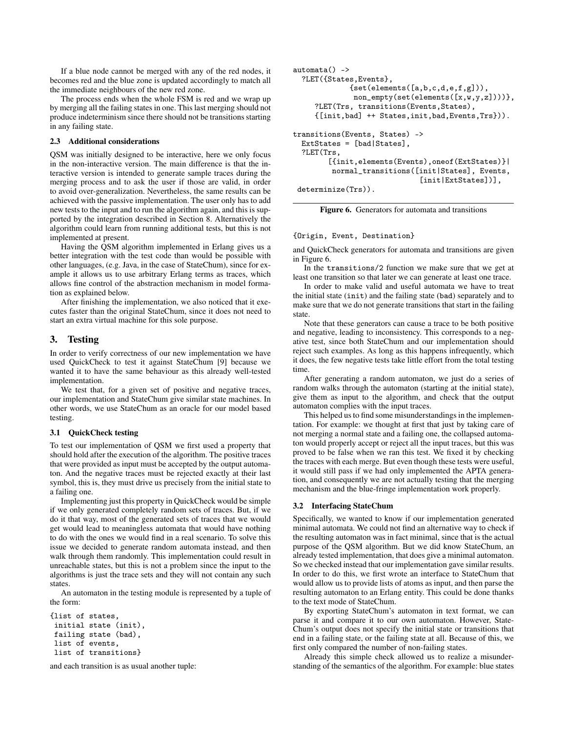If a blue node cannot be merged with any of the red nodes, it becomes red and the blue zone is updated accordingly to match all the immediate neighbours of the new red zone.

The process ends when the whole FSM is red and we wrap up by merging all the failing states in one. This last merging should not produce indeterminism since there should not be transitions starting in any failing state.

#### 2.3 Additional considerations

QSM was initially designed to be interactive, here we only focus in the non-interactive version. The main difference is that the interactive version is intended to generate sample traces during the merging process and to ask the user if those are valid, in order to avoid over-generalization. Nevertheless, the same results can be achieved with the passive implementation. The user only has to add new tests to the input and to run the algorithm again, and this is supported by the integration described in Section 8. Alternatively the algorithm could learn from running additional tests, but this is not implemented at present.

Having the QSM algorithm implemented in Erlang gives us a better integration with the test code than would be possible with other languages, (e.g. Java, in the case of StateChum), since for example it allows us to use arbitrary Erlang terms as traces, which allows fine control of the abstraction mechanism in model formation as explained below.

After finishing the implementation, we also noticed that it executes faster than the original StateChum, since it does not need to start an extra virtual machine for this sole purpose.

#### 3. Testing

In order to verify correctness of our new implementation we have used QuickCheck to test it against StateChum [9] because we wanted it to have the same behaviour as this already well-tested implementation.

We test that, for a given set of positive and negative traces, our implementation and StateChum give similar state machines. In other words, we use StateChum as an oracle for our model based testing.

#### 3.1 QuickCheck testing

To test our implementation of QSM we first used a property that should hold after the execution of the algorithm. The positive traces that were provided as input must be accepted by the output automaton. And the negative traces must be rejected exactly at their last symbol, this is, they must drive us precisely from the initial state to a failing one.

Implementing just this property in QuickCheck would be simple if we only generated completely random sets of traces. But, if we do it that way, most of the generated sets of traces that we would get would lead to meaningless automata that would have nothing to do with the ones we would find in a real scenario. To solve this issue we decided to generate random automata instead, and then walk through them randomly. This implementation could result in unreachable states, but this is not a problem since the input to the algorithms is just the trace sets and they will not contain any such states.

An automaton in the testing module is represented by a tuple of the form:

```
{list of states,
initial state (init),
failing state (bad),
list of events,
list of transitions}
```
and each transition is as usual another tuple:

```
automata() ->?LET({States,Events},
             {set(elements([a,b,c,d,e,f,g]))},
              non_empty(set(elements([x,w,y,z])))},
     ?LET(Trs, transitions(Events,States),
     {[init,bad] ++ States,init,bad,Events,Trs})).
transitions(Events, States) ->
 ExtStates = [bad|States],
  ?LET(Trs,
        [{init,elements(Events),oneof(ExtStates)}|
         normal_transitions([init|States], Events,
                              [init|ExtStates])],
determinize(Trs)).
```
Figure 6. Generators for automata and transitions

#### {Origin, Event, Destination}

and QuickCheck generators for automata and transitions are given in Figure 6.

In the transitions/2 function we make sure that we get at least one transition so that later we can generate at least one trace.

In order to make valid and useful automata we have to treat the initial state (init) and the failing state (bad) separately and to make sure that we do not generate transitions that start in the failing state.

Note that these generators can cause a trace to be both positive and negative, leading to inconsistency. This corresponds to a negative test, since both StateChum and our implementation should reject such examples. As long as this happens infrequently, which it does, the few negative tests take little effort from the total testing time.

After generating a random automaton, we just do a series of random walks through the automaton (starting at the initial state), give them as input to the algorithm, and check that the output automaton complies with the input traces.

This helped us to find some misunderstandings in the implementation. For example: we thought at first that just by taking care of not merging a normal state and a failing one, the collapsed automaton would properly accept or reject all the input traces, but this was proved to be false when we ran this test. We fixed it by checking the traces with each merge. But even though these tests were useful, it would still pass if we had only implemented the APTA generation, and consequently we are not actually testing that the merging mechanism and the blue-fringe implementation work properly.

#### 3.2 Interfacing StateChum

Specifically, we wanted to know if our implementation generated minimal automata. We could not find an alternative way to check if the resulting automaton was in fact minimal, since that is the actual purpose of the QSM algorithm. But we did know StateChum, an already tested implementation, that does give a minimal automaton. So we checked instead that our implementation gave similar results. In order to do this, we first wrote an interface to StateChum that would allow us to provide lists of atoms as input, and then parse the resulting automaton to an Erlang entity. This could be done thanks to the text mode of StateChum.

By exporting StateChum's automaton in text format, we can parse it and compare it to our own automaton. However, State-Chum's output does not specify the initial state or transitions that end in a failing state, or the failing state at all. Because of this, we first only compared the number of non-failing states.

Already this simple check allowed us to realize a misunderstanding of the semantics of the algorithm. For example: blue states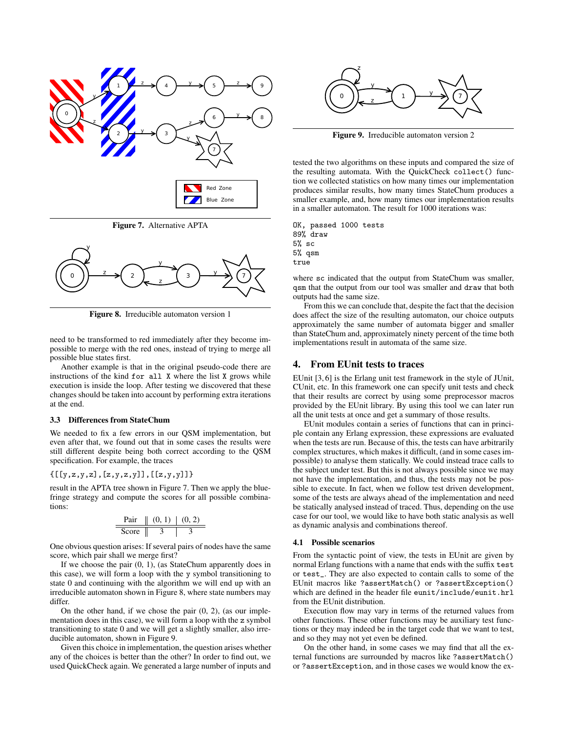

Figure 7. Alternative APTA



Figure 8. Irreducible automaton version 1

need to be transformed to red immediately after they become impossible to merge with the red ones, instead of trying to merge all possible blue states first.

Another example is that in the original pseudo-code there are instructions of the kind for all X where the list X grows while execution is inside the loop. After testing we discovered that these changes should be taken into account by performing extra iterations at the end.

#### 3.3 Differences from StateChum

We needed to fix a few errors in our QSM implementation, but even after that, we found out that in some cases the results were still different despite being both correct according to the QSM specification. For example, the traces

 ${[[y,z,y,z],[z,y,z,y]],[[z,y,y]]]}$ 

result in the APTA tree shown in Figure 7. Then we apply the bluefringe strategy and compute the scores for all possible combinations:

| Pair  | $(0, 1)$ | $(0, 2)$ |
|-------|----------|----------|
| Score | $3$      | $3$      |

One obvious question arises: If several pairs of nodes have the same score, which pair shall we merge first?

If we choose the pair (0, 1), (as StateChum apparently does in this case), we will form a loop with the y symbol transitioning to state 0 and continuing with the algorithm we will end up with an irreducible automaton shown in Figure 8, where state numbers may differ.

On the other hand, if we chose the pair (0, 2), (as our implementation does in this case), we will form a loop with the z symbol transitioning to state 0 and we will get a slightly smaller, also irreducible automaton, shown in Figure 9.

Given this choice in implementation, the question arises whether any of the choices is better than the other? In order to find out, we used QuickCheck again. We generated a large number of inputs and



Figure 9. Irreducible automaton version 2

tested the two algorithms on these inputs and compared the size of the resulting automata. With the QuickCheck collect() function we collected statistics on how many times our implementation produces similar results, how many times StateChum produces a smaller example, and, how many times our implementation results in a smaller automaton. The result for 1000 iterations was:

OK, passed 1000 tests 89% draw 5% sc 5% qsm true

where sc indicated that the output from StateChum was smaller, qsm that the output from our tool was smaller and draw that both outputs had the same size.

From this we can conclude that, despite the fact that the decision does affect the size of the resulting automaton, our choice outputs approximately the same number of automata bigger and smaller than StateChum and, approximately ninety percent of the time both implementations result in automata of the same size.

#### 4. From EUnit tests to traces

EUnit [3, 6] is the Erlang unit test framework in the style of JUnit, CUnit, etc. In this framework one can specify unit tests and check that their results are correct by using some preprocessor macros provided by the EUnit library. By using this tool we can later run all the unit tests at once and get a summary of those results.

EUnit modules contain a series of functions that can in principle contain any Erlang expression, these expressions are evaluated when the tests are run. Because of this, the tests can have arbitrarily complex structures, which makes it difficult, (and in some cases impossible) to analyse them statically. We could instead trace calls to the subject under test. But this is not always possible since we may not have the implementation, and thus, the tests may not be possible to execute. In fact, when we follow test driven development, some of the tests are always ahead of the implementation and need be statically analysed instead of traced. Thus, depending on the use case for our tool, we would like to have both static analysis as well as dynamic analysis and combinations thereof.

#### 4.1 Possible scenarios

From the syntactic point of view, the tests in EUnit are given by normal Erlang functions with a name that ends with the suffix test or test\_. They are also expected to contain calls to some of the EUnit macros like ?assertMatch() or ?assertException() which are defined in the header file eunit/include/eunit.hrl from the EUnit distribution.

Execution flow may vary in terms of the returned values from other functions. These other functions may be auxiliary test functions or they may indeed be in the target code that we want to test, and so they may not yet even be defined.

On the other hand, in some cases we may find that all the external functions are surrounded by macros like ?assertMatch() or ?assertException, and in those cases we would know the ex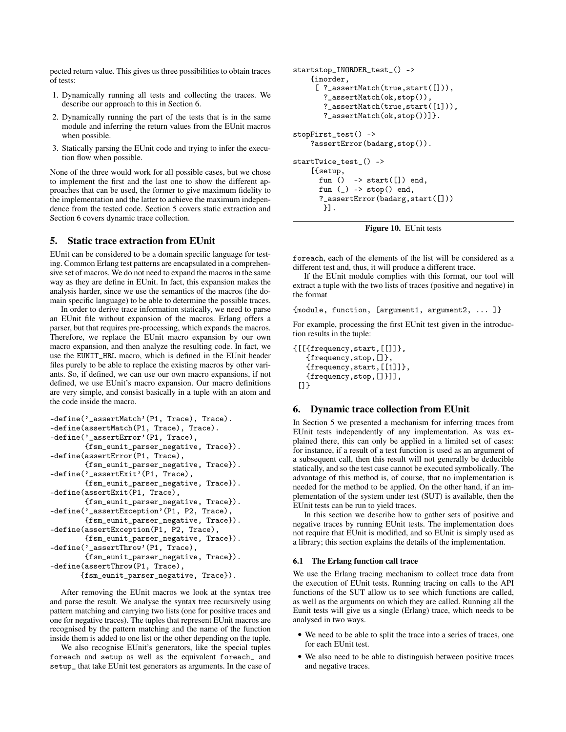pected return value. This gives us three possibilities to obtain traces of tests:

- 1. Dynamically running all tests and collecting the traces. We describe our approach to this in Section 6.
- 2. Dynamically running the part of the tests that is in the same module and inferring the return values from the EUnit macros when possible.
- 3. Statically parsing the EUnit code and trying to infer the execution flow when possible.

None of the three would work for all possible cases, but we chose to implement the first and the last one to show the different approaches that can be used, the former to give maximum fidelity to the implementation and the latter to achieve the maximum independence from the tested code. Section 5 covers static extraction and Section 6 covers dynamic trace collection.

#### 5. Static trace extraction from EUnit

EUnit can be considered to be a domain specific language for testing. Common Erlang test patterns are encapsulated in a comprehensive set of macros. We do not need to expand the macros in the same way as they are define in EUnit. In fact, this expansion makes the analysis harder, since we use the semantics of the macros (the domain specific language) to be able to determine the possible traces.

In order to derive trace information statically, we need to parse an EUnit file without expansion of the macros. Erlang offers a parser, but that requires pre-processing, which expands the macros. Therefore, we replace the EUnit macro expansion by our own macro expansion, and then analyze the resulting code. In fact, we use the EUNIT\_HRL macro, which is defined in the EUnit header files purely to be able to replace the existing macros by other variants. So, if defined, we can use our own macro expansions, if not defined, we use EUnit's macro expansion. Our macro definitions are very simple, and consist basically in a tuple with an atom and the code inside the macro.

```
-define('_assertMatch'(P1, Trace), Trace).
-define(assertMatch(P1, Trace), Trace).
-define('_assertError'(P1, Trace),
        {fsm_eunit_parser_negative, Trace}).
-define(assertError(P1, Trace),
        {fsm_eunit_parser_negative, Trace}).
-define('_assertExit'(P1, Trace),
        {fsm_eunit_parser_negative, Trace}).
-define(assertExit(P1, Trace),
        {fsm_eunit_parser_negative, Trace}).
-define('_assertException'(P1, P2, Trace),
        {fsm_eunit_parser_negative, Trace}).
-define(assertException(P1, P2, Trace),
        {fsm_eunit_parser_negative, Trace}).
-define('_assertThrow'(P1, Trace),
        {fsm_eunit_parser_negative, Trace}).
-define(assertThrow(P1, Trace),
       {fsm_eunit_parser_negative, Trace}).
```
After removing the EUnit macros we look at the syntax tree and parse the result. We analyse the syntax tree recursively using pattern matching and carrying two lists (one for positive traces and one for negative traces). The tuples that represent EUnit macros are recognised by the pattern matching and the name of the function inside them is added to one list or the other depending on the tuple.

We also recognise EUnit's generators, like the special tuples foreach and setup as well as the equivalent foreach\_ and setup\_ that take EUnit test generators as arguments. In the case of

```
startstop_INORDER_test_() ->
    {inorder,
     [ ?_assertMatch(true,start([])),
       ?_assertMatch(ok,stop()),
       ?_assertMatch(true,start([1])),
       ?_assertMatch(ok,stop())]}.
stopFirst_test() ->
    ?assertError(badarg,stop()).
startTwice_test_() ->
    [{setup,
      fun () \rightarrow start([]) end,
      fun () -> stop() end,
      ?_assertError(badarg,start([]))
       }].
```
Figure 10. EUnit tests

foreach, each of the elements of the list will be considered as a different test and, thus, it will produce a different trace.

If the EUnit module complies with this format, our tool will extract a tuple with the two lists of traces (positive and negative) in the format

```
{module, function, [argument1, argument2, ... ]}
```
For example, processing the first EUnit test given in the introduction results in the tuple:

```
{[[{frequency,start,[[]]},
   {frequency,stop,[]},
   {frequency,start,[[1]]},
   {frequency,stop,[]}]],
 []}
```
#### 6. Dynamic trace collection from EUnit

In Section 5 we presented a mechanism for inferring traces from EUnit tests independently of any implementation. As was explained there, this can only be applied in a limited set of cases: for instance, if a result of a test function is used as an argument of a subsequent call, then this result will not generally be deducible statically, and so the test case cannot be executed symbolically. The advantage of this method is, of course, that no implementation is needed for the method to be applied. On the other hand, if an implementation of the system under test (SUT) is available, then the EUnit tests can be run to yield traces.

In this section we describe how to gather sets of positive and negative traces by running EUnit tests. The implementation does not require that EUnit is modified, and so EUnit is simply used as a library; this section explains the details of the implementation.

#### 6.1 The Erlang function call trace

We use the Erlang tracing mechanism to collect trace data from the execution of EUnit tests. Running tracing on calls to the API functions of the SUT allow us to see which functions are called, as well as the arguments on which they are called. Running all the Eunit tests will give us a single (Erlang) trace, which needs to be analysed in two ways.

- We need to be able to split the trace into a series of traces, one for each EUnit test.
- We also need to be able to distinguish between positive traces and negative traces.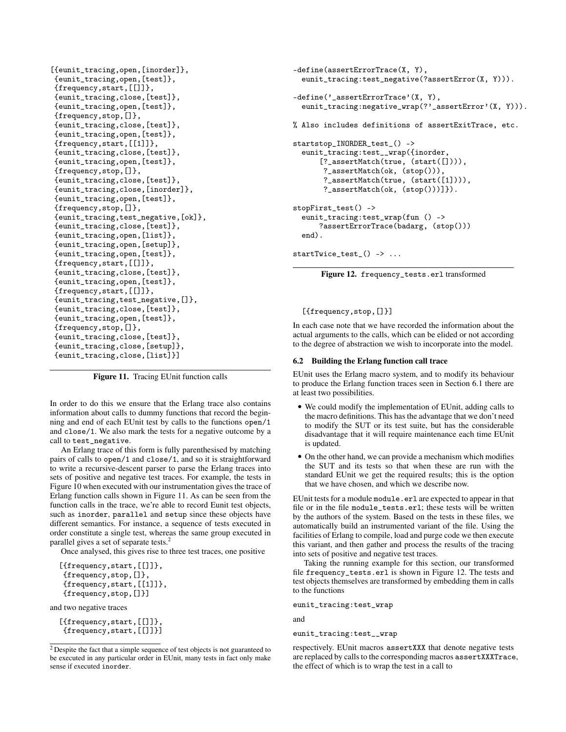```
[{eunit_tracing,open,[inorder]},
{eunit_tracing,open,[test]},
{frequency,start,[[]]},
{eunit_tracing,close,[test]},
{eunit_tracing,open,[test]},
{frequency,stop,[]},
{eunit_tracing,close,[test]},
{eunit_tracing,open,[test]},
{frequency,start,[[1]]},
{eunit_tracing,close,[test]},
{eunit_tracing,open,[test]},
{frequency,stop,[]},
{eunit_tracing,close,[test]},
{eunit_tracing,close,[inorder]},
{eunit_tracing,open,[test]},
{frequency,stop,[]},
{eunit_tracing,test_negative,[ok]},
{eunit_tracing,close,[test]},
{eunit_tracing,open,[list]},
{eunit_tracing,open,[setup]},
{eunit_tracing,open,[test]},
{frequency,start,[[]]},
{eunit_tracing,close,[test]},
{eunit_tracing,open,[test]},
{frequency,start,[[]]},
{eunit_tracing,test_negative,[]},
{eunit_tracing,close,[test]},
{eunit_tracing,open,[test]},
{frequency,stop,[]},
{eunit_tracing,close,[test]},
{eunit_tracing,close,[setup]},
{eunit_tracing,close,[list]}]
```
Figure 11. Tracing EUnit function calls

In order to do this we ensure that the Erlang trace also contains information about calls to dummy functions that record the beginning and end of each EUnit test by calls to the functions open/1 and close/1. We also mark the tests for a negative outcome by a call to test\_negative.

An Erlang trace of this form is fully parenthesised by matching pairs of calls to open/1 and close/1, and so it is straightforward to write a recursive-descent parser to parse the Erlang traces into sets of positive and negative test traces. For example, the tests in Figure 10 when executed with our instrumentation gives the trace of Erlang function calls shown in Figure 11. As can be seen from the function calls in the trace, we're able to record Eunit test objects, such as inorder, parallel and setup since these objects have different semantics. For instance, a sequence of tests executed in order constitute a single test, whereas the same group executed in parallel gives a set of separate tests.<sup>2</sup>

Once analysed, this gives rise to three test traces, one positive

```
[{frequency,start,[[]]},
{frequency,stop,[]},
{frequency,start,[[1]]},
{frequency,stop,[]}]
```
and two negative traces

```
[{frequency,start,[[]]},
{frequency,start,[[]]}]
```

```
2 Despite the fact that a simple sequence of test objects is not guaranteed to
be executed in any particular order in EUnit, many tests in fact only make
sense if executed inorder.
```

```
-define(assertErrorTrace(X, Y),
  eunit_tracing:test_negative(?assertError(X, Y))).
-define('_assertErrorTrace'(X, Y),
  eunit_tracing:negative_wrap(?'_assertError'(X, Y))).
% Also includes definitions of assertExitTrace, etc.
startstop_INORDER_test_() ->
  eunit_tracing:test__wrap({inorder,
      [?_assertMatch(true, (start([]))),
       ?_assertMatch(ok, (stop())),
       ?_assertMatch(true, (start([1]))),
       ?_assertMatch(ok, (stop()))]}).
stopFirst_test() ->
  eunit_tracing:test_wrap(fun () ->
      ?assertErrorTrace(badarg, (stop()))
  end).
startTwice_test_() -> ...
```


#### [{frequency,stop,[]}]

In each case note that we have recorded the information about the actual arguments to the calls, which can be elided or not according to the degree of abstraction we wish to incorporate into the model.

#### 6.2 Building the Erlang function call trace

EUnit uses the Erlang macro system, and to modify its behaviour to produce the Erlang function traces seen in Section 6.1 there are at least two possibilities.

- We could modify the implementation of EUnit, adding calls to the macro definitions. This has the advantage that we don't need to modify the SUT or its test suite, but has the considerable disadvantage that it will require maintenance each time EUnit is updated.
- On the other hand, we can provide a mechanism which modifies the SUT and its tests so that when these are run with the standard EUnit we get the required results; this is the option that we have chosen, and which we describe now.

EUnit tests for a module module.erl are expected to appear in that file or in the file module\_tests.erl; these tests will be written by the authors of the system. Based on the tests in these files, we automatically build an instrumented variant of the file. Using the facilities of Erlang to compile, load and purge code we then execute this variant, and then gather and process the results of the tracing into sets of positive and negative test traces.

Taking the running example for this section, our transformed file frequency\_tests.erl is shown in Figure 12. The tests and test objects themselves are transformed by embedding them in calls to the functions

eunit\_tracing:test\_wrap

and

#### eunit\_tracing:test\_\_wrap

respectively. EUnit macros assertXXX that denote negative tests are replaced by calls to the corresponding macros assertXXXTrace, the effect of which is to wrap the test in a call to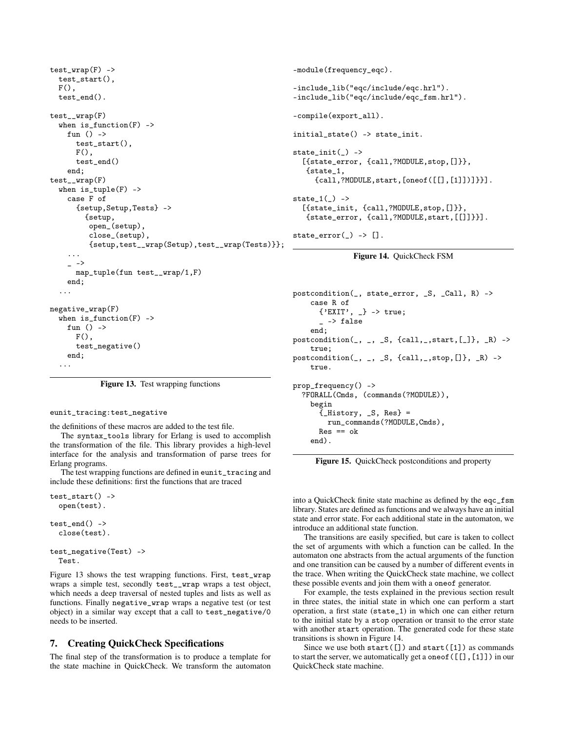```
test\_wrap(F) ->
  test_start(),
  F(),
  test_end().
test__wrap(F)
  when is_function(F) ->
    fun () \rightarrowtest_start(),
      F(),
      test end()
    end;
test__wrap(F)
  when is\_tuple(F) ->
    case F of
      {setup,Setup,Tests} ->
        {setup,
         open_(setup),
         close_(setup),
         {setup,test__wrap(Setup),test__wrap(Tests)}};
    ...
    \simmap_tuple(fun test__wrap/1,F)
    end;
  ...
negative_wrap(F)
  when is\_function(F) ->
    fun() ->
      F(),
      test_negative()
    end;
  ...
```


eunit\_tracing:test\_negative

the definitions of these macros are added to the test file.

The syntax\_tools library for Erlang is used to accomplish the transformation of the file. This library provides a high-level interface for the analysis and transformation of parse trees for Erlang programs.

The test wrapping functions are defined in eunit\_tracing and include these definitions: first the functions that are traced

```
test_start() ->
  open(test).
test end() \rightarrowclose(test).
test_negative(Test) ->
  Test.
```
Figure 13 shows the test wrapping functions. First, test\_wrap wraps a simple test, secondly test\_\_wrap wraps a test object, which needs a deep traversal of nested tuples and lists as well as functions. Finally negative\_wrap wraps a negative test (or test object) in a similar way except that a call to test\_negative/0 needs to be inserted.

#### 7. Creating QuickCheck Specifications

The final step of the transformation is to produce a template for the state machine in QuickCheck. We transform the automaton

```
-module(frequency_eqc).
-include_lib("eqc/include/eqc.hrl").
-include_lib("eqc/include/eqc_fsm.hrl").
-compile(export_all).
initial_state() -> state_init.
state_init(\_) ->
  [{state_error, {call,?MODULE,stop,[]}},
   {state_1,
     {call,?MODULE,start,[oneof([[],[1]])]}}].
state_1() ->
  [{state_init, {call,?MODULE,stop, []}},
   {state_error, {call,?MODULE,start,[[]]}}].
state_error(\_) -> [].
```


```
postcondition(_, state_error, _S, _Call, R) ->
    case R of
       {'EXIT', _} -> true;
       \overline{\phantom{a}} -> false
    end;
postcondition(\_,\_,\_S, \{call,\_,start,\allowbreak[\_]\},\ _R) ->
    true;
postcondition(\_, \_, \_S, {call,\_,stop,[]}, _R) ->
    true.
prop_frequency() ->
  ?FORALL(Cmds, (commands(?MODULE)),
    begin
       {_History, _S, Res} =
         run_commands(?MODULE,Cmds),
       Res == okend).
```
Figure 15. QuickCheck postconditions and property

into a QuickCheck finite state machine as defined by the eqc\_fsm library. States are defined as functions and we always have an initial state and error state. For each additional state in the automaton, we introduce an additional state function.

The transitions are easily specified, but care is taken to collect the set of arguments with which a function can be called. In the automaton one abstracts from the actual arguments of the function and one transition can be caused by a number of different events in the trace. When writing the QuickCheck state machine, we collect these possible events and join them with a oneof generator.

For example, the tests explained in the previous section result in three states, the initial state in which one can perform a start operation, a first state (state\_1) in which one can either return to the initial state by a stop operation or transit to the error state with another start operation. The generated code for these state transitions is shown in Figure 14.

Since we use both  $start([])$  and  $start([1])$  as commands to start the server, we automatically get a oneof([[],[1]]) in our QuickCheck state machine.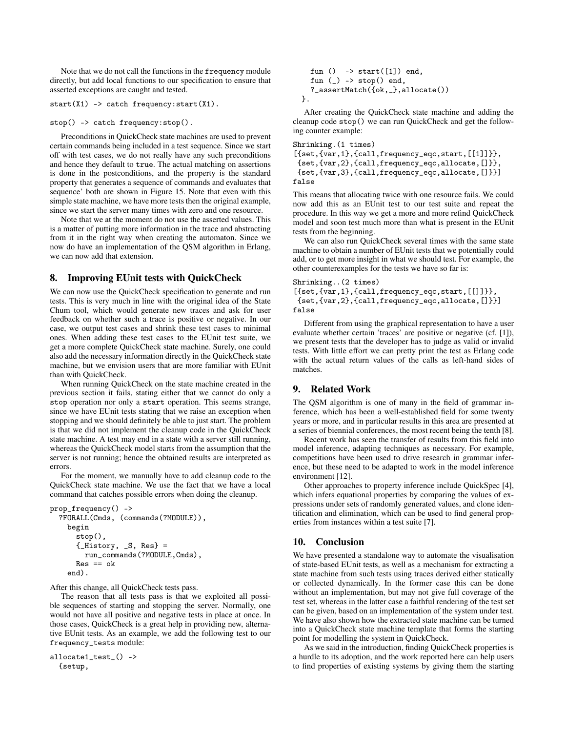Note that we do not call the functions in the frequency module directly, but add local functions to our specification to ensure that asserted exceptions are caught and tested.

```
start(X1) \rightarrow catch frequency: start(X1).
```

```
stop() -> catch frequency:stop().
```
Preconditions in QuickCheck state machines are used to prevent certain commands being included in a test sequence. Since we start off with test cases, we do not really have any such preconditions and hence they default to true. The actual matching on assertions is done in the postconditions, and the property is the standard property that generates a sequence of commands and evaluates that sequence' both are shown in Figure 15. Note that even with this simple state machine, we have more tests then the original example, since we start the server many times with zero and one resource.

Note that we at the moment do not use the asserted values. This is a matter of putting more information in the trace and abstracting from it in the right way when creating the automaton. Since we now do have an implementation of the QSM algorithm in Erlang, we can now add that extension.

#### 8. Improving EUnit tests with QuickCheck

We can now use the QuickCheck specification to generate and run tests. This is very much in line with the original idea of the State Chum tool, which would generate new traces and ask for user feedback on whether such a trace is positive or negative. In our case, we output test cases and shrink these test cases to minimal ones. When adding these test cases to the EUnit test suite, we get a more complete QuickCheck state machine. Surely, one could also add the necessary information directly in the QuickCheck state machine, but we envision users that are more familiar with EUnit than with QuickCheck.

When running QuickCheck on the state machine created in the previous section it fails, stating either that we cannot do only a stop operation nor only a start operation. This seems strange, since we have EUnit tests stating that we raise an exception when stopping and we should definitely be able to just start. The problem is that we did not implement the cleanup code in the QuickCheck state machine. A test may end in a state with a server still running, whereas the QuickCheck model starts from the assumption that the server is not running; hence the obtained results are interpreted as errors.

For the moment, we manually have to add cleanup code to the QuickCheck state machine. We use the fact that we have a local command that catches possible errors when doing the cleanup.

```
prop_frequency() ->
  ?FORALL(Cmds, (commands(?MODULE)),
   begin
      stop(),
      {L}History, _S, Res} =
        run_commands(?MODULE,Cmds),
      Res == okend).
```
After this change, all QuickCheck tests pass.

The reason that all tests pass is that we exploited all possible sequences of starting and stopping the server. Normally, one would not have all positive and negative tests in place at once. In those cases, QuickCheck is a great help in providing new, alternative EUnit tests. As an example, we add the following test to our frequency\_tests module:

```
allocate1_test_() ->
  {setup,
```

```
fun () \rightarrow start([1]) end,
  fun () -> stop() end,
  ?_assertMatch({ok,_},allocate())
}.
```
After creating the QuickCheck state machine and adding the cleanup code stop() we can run QuickCheck and get the following counter example:

```
Shrinking.(1 times)
[{set,{var,1},{call,frequency_eqc,start,[[1]]}},
 {set,{var,2},{call,frequency_eqc,allocate,[]}},
 {set,{var,3},{call,frequency_eqc,allocate,[]}}]
false
```
This means that allocating twice with one resource fails. We could now add this as an EUnit test to our test suite and repeat the procedure. In this way we get a more and more refind QuickCheck model and soon test much more than what is present in the EUnit tests from the beginning.

We can also run QuickCheck several times with the same state machine to obtain a number of EUnit tests that we potentially could add, or to get more insight in what we should test. For example, the other counterexamples for the tests we have so far is:

```
Shrinking..(2 times)
[{set,{var,1},{call,frequency_eqc,start,[[]]}},
{set,{var,2},{call,frequency_eqc,allocate,[]}}]
false
```
Different from using the graphical representation to have a user evaluate whether certain 'traces' are positive or negative (cf. [1]), we present tests that the developer has to judge as valid or invalid tests. With little effort we can pretty print the test as Erlang code with the actual return values of the calls as left-hand sides of matches.

#### 9. Related Work

The QSM algorithm is one of many in the field of grammar inference, which has been a well-established field for some twenty years or more, and in particular results in this area are presented at a series of biennial conferences, the most recent being the tenth [8].

Recent work has seen the transfer of results from this field into model inference, adapting techniques as necessary. For example, competitions have been used to drive research in grammar inference, but these need to be adapted to work in the model inference environment [12].

Other approaches to property inference include QuickSpec [4], which infers equational properties by comparing the values of expressions under sets of randomly generated values, and clone identification and elimination, which can be used to find general properties from instances within a test suite [7].

#### 10. Conclusion

We have presented a standalone way to automate the visualisation of state-based EUnit tests, as well as a mechanism for extracting a state machine from such tests using traces derived either statically or collected dynamically. In the former case this can be done without an implementation, but may not give full coverage of the test set, whereas in the latter case a faithful rendering of the test set can be given, based on an implementation of the system under test. We have also shown how the extracted state machine can be turned into a QuickCheck state machine template that forms the starting point for modelling the system in QuickCheck.

As we said in the introduction, finding QuickCheck properties is a hurdle to its adoption, and the work reported here can help users to find properties of existing systems by giving them the starting